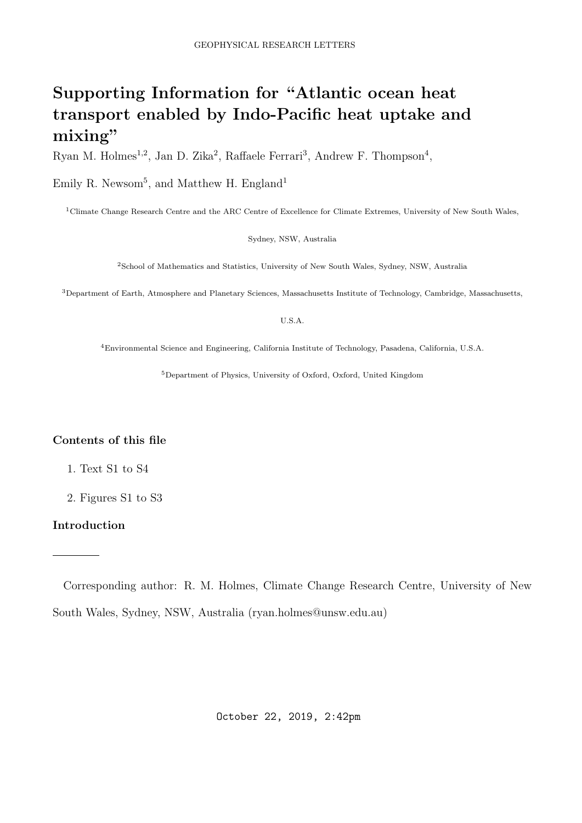# Supporting Information for "Atlantic ocean heat transport enabled by Indo-Pacific heat uptake and mixing"

Ryan M. Holmes<sup>1,2</sup>, Jan D. Zika<sup>2</sup>, Raffaele Ferrari<sup>3</sup>, Andrew F. Thompson<sup>4</sup>,

Emily R. Newsom<sup>5</sup>, and Matthew H. England<sup>1</sup>

<sup>1</sup>Climate Change Research Centre and the ARC Centre of Excellence for Climate Extremes, University of New South Wales,

Sydney, NSW, Australia

<sup>2</sup>School of Mathematics and Statistics, University of New South Wales, Sydney, NSW, Australia

<sup>3</sup>Department of Earth, Atmosphere and Planetary Sciences, Massachusetts Institute of Technology, Cambridge, Massachusetts,

U.S.A.

<sup>4</sup>Environmental Science and Engineering, California Institute of Technology, Pasadena, California, U.S.A.

<sup>5</sup>Department of Physics, University of Oxford, Oxford, United Kingdom

## Contents of this file

- 1. Text S1 to S4
- 2. Figures S1 to S3

### Introduction

Corresponding author: R. M. Holmes, Climate Change Research Centre, University of New South Wales, Sydney, NSW, Australia (ryan.holmes@unsw.edu.au)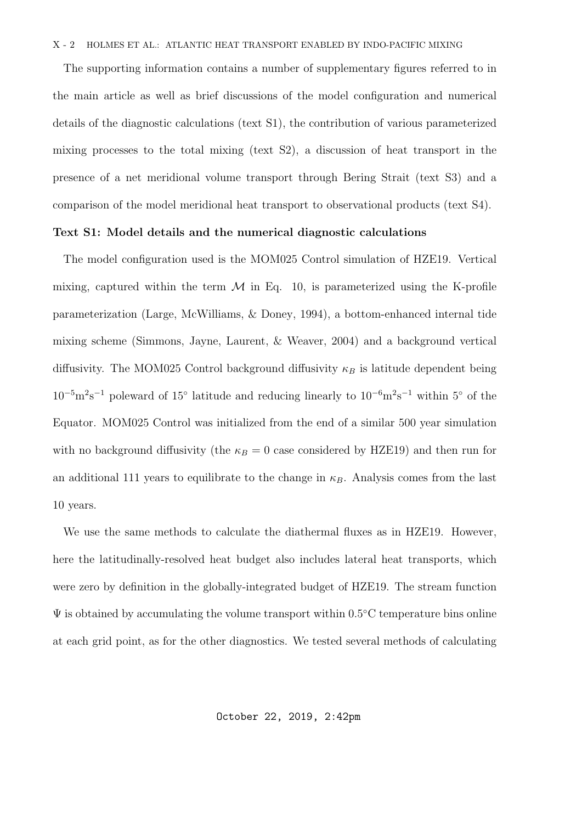#### X - 2 HOLMES ET AL.: ATLANTIC HEAT TRANSPORT ENABLED BY INDO-PACIFIC MIXING

The supporting information contains a number of supplementary figures referred to in the main article as well as brief discussions of the model configuration and numerical details of the diagnostic calculations (text S1), the contribution of various parameterized mixing processes to the total mixing (text S2), a discussion of heat transport in the presence of a net meridional volume transport through Bering Strait (text S3) and a comparison of the model meridional heat transport to observational products (text S4).

### Text S1: Model details and the numerical diagnostic calculations

The model configuration used is the MOM025 Control simulation of HZE19. Vertical mixing, captured within the term  $\mathcal M$  in Eq. 10, is parameterized using the K-profile parameterization (Large, McWilliams, & Doney, 1994), a bottom-enhanced internal tide mixing scheme (Simmons, Jayne, Laurent, & Weaver, 2004) and a background vertical diffusivity. The MOM025 Control background diffusivity  $\kappa_B$  is latitude dependent being  $10^{-5}$ m<sup>2</sup>s<sup>-1</sup> poleward of 15° latitude and reducing linearly to  $10^{-6}$ m<sup>2</sup>s<sup>-1</sup> within 5° of the Equator. MOM025 Control was initialized from the end of a similar 500 year simulation with no background diffusivity (the  $\kappa_B = 0$  case considered by HZE19) and then run for an additional 111 years to equilibrate to the change in  $\kappa_B$ . Analysis comes from the last 10 years.

We use the same methods to calculate the diathermal fluxes as in HZE19. However, here the latitudinally-resolved heat budget also includes lateral heat transports, which were zero by definition in the globally-integrated budget of HZE19. The stream function  $\Psi$  is obtained by accumulating the volume transport within 0.5°C temperature bins online at each grid point, as for the other diagnostics. We tested several methods of calculating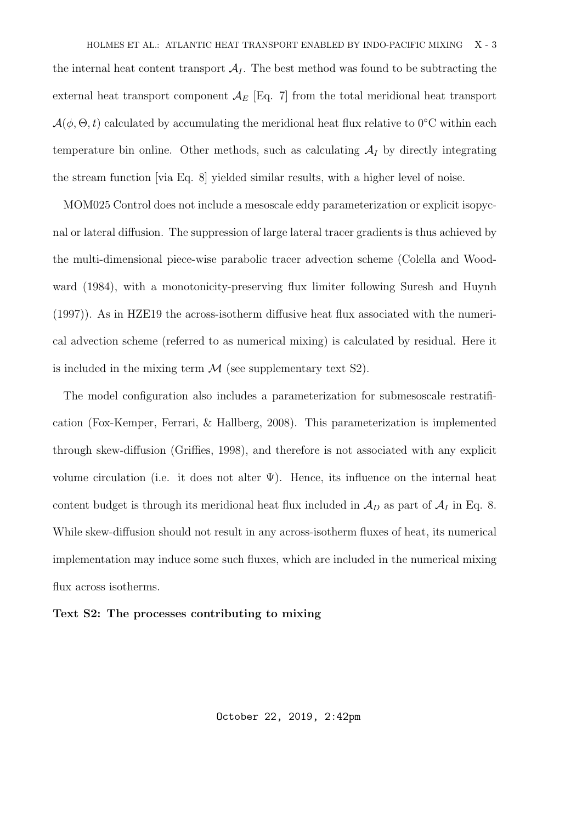the internal heat content transport  $A_I$ . The best method was found to be subtracting the external heat transport component  $\mathcal{A}_{E}$  [Eq. 7] from the total meridional heat transport  $\mathcal{A}(\phi,\Theta,t)$  calculated by accumulating the meridional heat flux relative to 0°C within each temperature bin online. Other methods, such as calculating  $A_I$  by directly integrating the stream function [via Eq. 8] yielded similar results, with a higher level of noise.

MOM025 Control does not include a mesoscale eddy parameterization or explicit isopycnal or lateral diffusion. The suppression of large lateral tracer gradients is thus achieved by the multi-dimensional piece-wise parabolic tracer advection scheme (Colella and Woodward (1984), with a monotonicity-preserving flux limiter following Suresh and Huynh (1997)). As in HZE19 the across-isotherm diffusive heat flux associated with the numerical advection scheme (referred to as numerical mixing) is calculated by residual. Here it is included in the mixing term  $\mathcal M$  (see supplementary text S2).

The model configuration also includes a parameterization for submesoscale restratification (Fox-Kemper, Ferrari, & Hallberg, 2008). This parameterization is implemented through skew-diffusion (Griffies, 1998), and therefore is not associated with any explicit volume circulation (i.e. it does not alter  $\Psi$ ). Hence, its influence on the internal heat content budget is through its meridional heat flux included in  $\mathcal{A}_D$  as part of  $\mathcal{A}_I$  in Eq. 8. While skew-diffusion should not result in any across-isotherm fluxes of heat, its numerical implementation may induce some such fluxes, which are included in the numerical mixing flux across isotherms.

### Text S2: The processes contributing to mixing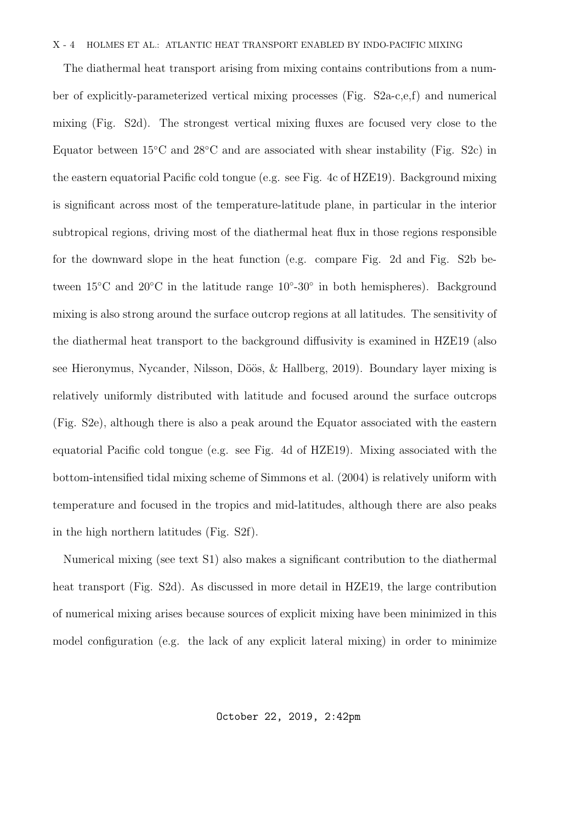#### X - 4 HOLMES ET AL.: ATLANTIC HEAT TRANSPORT ENABLED BY INDO-PACIFIC MIXING

The diathermal heat transport arising from mixing contains contributions from a number of explicitly-parameterized vertical mixing processes (Fig. S2a-c,e,f) and numerical mixing (Fig. S2d). The strongest vertical mixing fluxes are focused very close to the Equator between  $15^{\circ}$ C and  $28^{\circ}$ C and are associated with shear instability (Fig. S2c) in the eastern equatorial Pacific cold tongue (e.g. see Fig. 4c of HZE19). Background mixing is significant across most of the temperature-latitude plane, in particular in the interior subtropical regions, driving most of the diathermal heat flux in those regions responsible for the downward slope in the heat function (e.g. compare Fig. 2d and Fig. S2b between 15<sup>°</sup>C and 20<sup>°</sup>C in the latitude range 10<sup>°</sup>-30<sup>°</sup> in both hemispheres). Background mixing is also strong around the surface outcrop regions at all latitudes. The sensitivity of the diathermal heat transport to the background diffusivity is examined in HZE19 (also see Hieronymus, Nycander, Nilsson, Döös, & Hallberg, 2019). Boundary layer mixing is relatively uniformly distributed with latitude and focused around the surface outcrops (Fig. S2e), although there is also a peak around the Equator associated with the eastern equatorial Pacific cold tongue (e.g. see Fig. 4d of HZE19). Mixing associated with the bottom-intensified tidal mixing scheme of Simmons et al. (2004) is relatively uniform with temperature and focused in the tropics and mid-latitudes, although there are also peaks in the high northern latitudes (Fig. S2f).

Numerical mixing (see text S1) also makes a significant contribution to the diathermal heat transport (Fig. S2d). As discussed in more detail in HZE19, the large contribution of numerical mixing arises because sources of explicit mixing have been minimized in this model configuration (e.g. the lack of any explicit lateral mixing) in order to minimize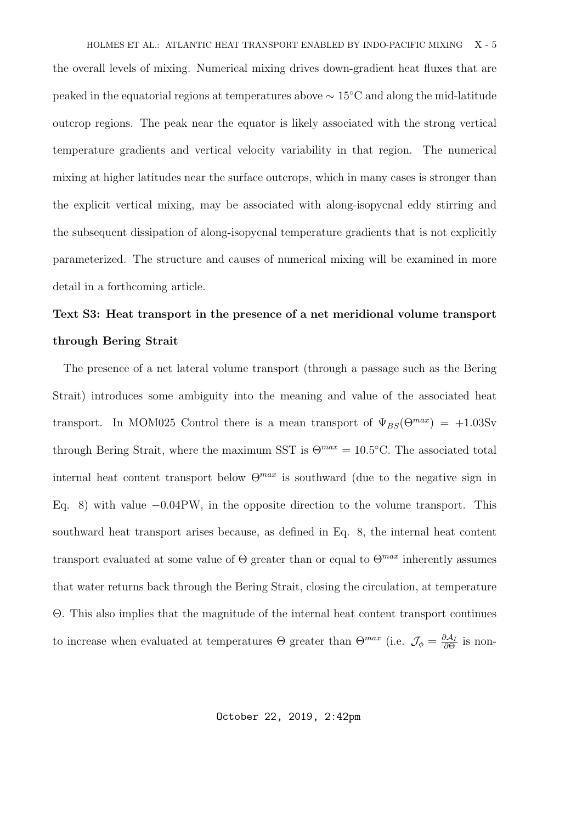the overall levels of mixing. Numerical mixing drives down-gradient heat fluxes that are peaked in the equatorial regions at temperatures above ∼ 15◦C and along the mid-latitude outcrop regions. The peak near the equator is likely associated with the strong vertical temperature gradients and vertical velocity variability in that region. The numerical mixing at higher latitudes near the surface outcrops, which in many cases is stronger than the explicit vertical mixing, may be associated with along-isopycnal eddy stirring and the subsequent dissipation of along-isopycnal temperature gradients that is not explicitly parameterized. The structure and causes of numerical mixing will be examined in more detail in a forthcoming article.

# Text S3: Heat transport in the presence of a net meridional volume transport through Bering Strait

The presence of a net lateral volume transport (through a passage such as the Bering Strait) introduces some ambiguity into the meaning and value of the associated heat transport. In MOM025 Control there is a mean transport of  $\Psi_{BS}(\Theta^{max}) = +1.03$ Sv through Bering Strait, where the maximum SST is  $\Theta^{max} = 10.5^{\circ}\text{C}$ . The associated total internal heat content transport below  $\Theta^{max}$  is southward (due to the negative sign in Eq. 8) with value −0.04PW, in the opposite direction to the volume transport. This southward heat transport arises because, as defined in Eq. 8, the internal heat content transport evaluated at some value of  $\Theta$  greater than or equal to  $\Theta^{max}$  inherently assumes that water returns back through the Bering Strait, closing the circulation, at temperature Θ. This also implies that the magnitude of the internal heat content transport continues to increase when evaluated at temperatures  $\Theta$  greater than  $\Theta^{max}$  (i.e.  $\mathcal{J}_{\phi} = \frac{\partial \mathcal{A}_I}{\partial \Theta}$  $\frac{\partial A_I}{\partial Θ}$  is non-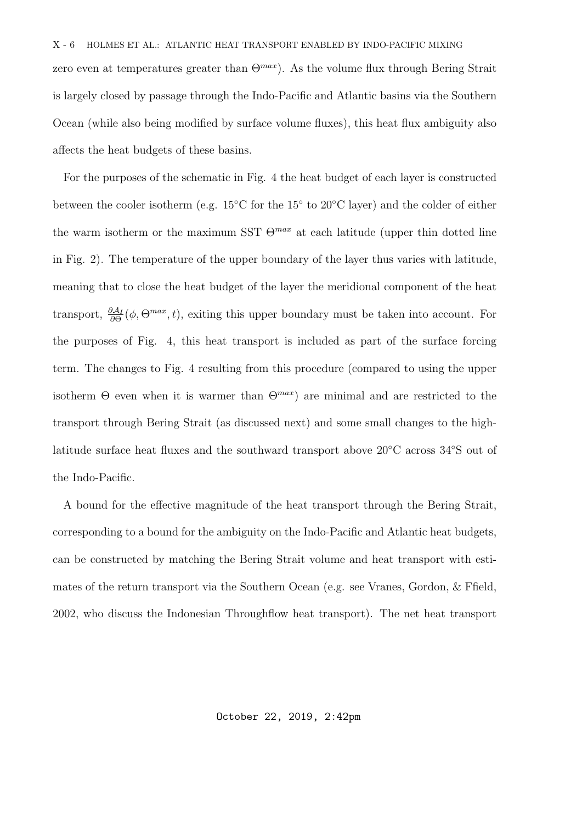zero even at temperatures greater than  $\Theta^{max}$ ). As the volume flux through Bering Strait is largely closed by passage through the Indo-Pacific and Atlantic basins via the Southern Ocean (while also being modified by surface volume fluxes), this heat flux ambiguity also affects the heat budgets of these basins.

For the purposes of the schematic in Fig. 4 the heat budget of each layer is constructed between the cooler isotherm (e.g. 15℃ for the 15° to 20℃ layer) and the colder of either the warm isotherm or the maximum SST  $\Theta^{max}$  at each latitude (upper thin dotted line in Fig. 2). The temperature of the upper boundary of the layer thus varies with latitude, meaning that to close the heat budget of the layer the meridional component of the heat transport,  $\frac{\partial A_I}{\partial \Theta}(\phi, \Theta^{max}, t)$ , exiting this upper boundary must be taken into account. For the purposes of Fig. 4, this heat transport is included as part of the surface forcing term. The changes to Fig. 4 resulting from this procedure (compared to using the upper isotherm  $\Theta$  even when it is warmer than  $\Theta^{max}$ ) are minimal and are restricted to the transport through Bering Strait (as discussed next) and some small changes to the highlatitude surface heat fluxes and the southward transport above 20◦C across 34◦S out of the Indo-Pacific.

A bound for the effective magnitude of the heat transport through the Bering Strait, corresponding to a bound for the ambiguity on the Indo-Pacific and Atlantic heat budgets, can be constructed by matching the Bering Strait volume and heat transport with estimates of the return transport via the Southern Ocean (e.g. see Vranes, Gordon, & Ffield, 2002, who discuss the Indonesian Throughflow heat transport). The net heat transport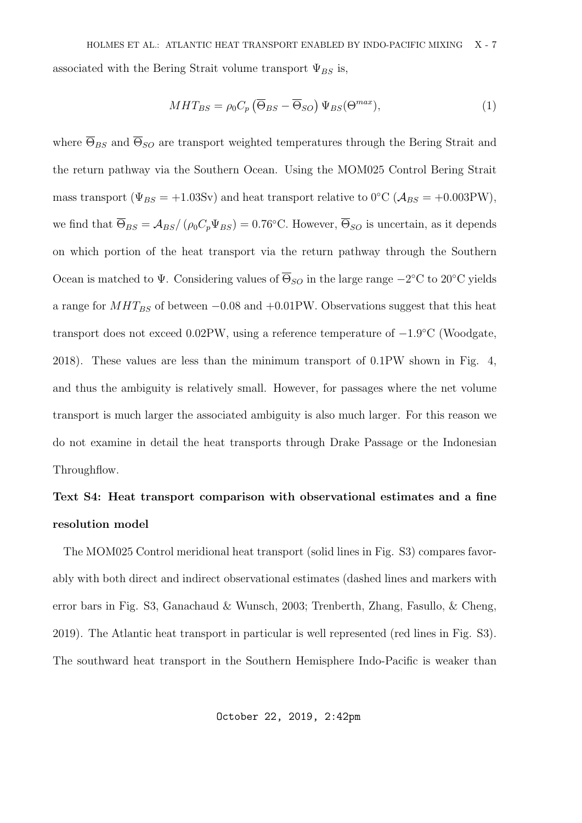associated with the Bering Strait volume transport  $\Psi_{BS}$  is,

$$
MHT_{BS} = \rho_0 C_p \left( \overline{\Theta}_{BS} - \overline{\Theta}_{SO} \right) \Psi_{BS}(\Theta^{max}), \tag{1}
$$

where  $\overline{\Theta}_{BS}$  and  $\overline{\Theta}_{SO}$  are transport weighted temperatures through the Bering Strait and the return pathway via the Southern Ocean. Using the MOM025 Control Bering Strait mass transport ( $\Psi_{BS} = +1.03Sv$ ) and heat transport relative to 0°C ( $A_{BS} = +0.003PW$ ), we find that  $\overline{\Theta}_{BS} = \mathcal{A}_{BS}/(\rho_0 C_p \Psi_{BS}) = 0.76$ °C. However,  $\overline{\Theta}_{SO}$  is uncertain, as it depends on which portion of the heat transport via the return pathway through the Southern Ocean is matched to  $\Psi$ . Considering values of  $\overline{\Theta}_{SO}$  in the large range  $-2^{\circ}\text{C}$  to  $20^{\circ}\text{C}$  yields a range for  $MHT_{BS}$  of between  $-0.08$  and  $+0.01$ PW. Observations suggest that this heat transport does not exceed 0.02PW, using a reference temperature of −1.9 ◦C (Woodgate, 2018). These values are less than the minimum transport of 0.1PW shown in Fig. 4, and thus the ambiguity is relatively small. However, for passages where the net volume transport is much larger the associated ambiguity is also much larger. For this reason we do not examine in detail the heat transports through Drake Passage or the Indonesian Throughflow.

## Text S4: Heat transport comparison with observational estimates and a fine resolution model

The MOM025 Control meridional heat transport (solid lines in Fig. S3) compares favorably with both direct and indirect observational estimates (dashed lines and markers with error bars in Fig. S3, Ganachaud & Wunsch, 2003; Trenberth, Zhang, Fasullo, & Cheng, 2019). The Atlantic heat transport in particular is well represented (red lines in Fig. S3). The southward heat transport in the Southern Hemisphere Indo-Pacific is weaker than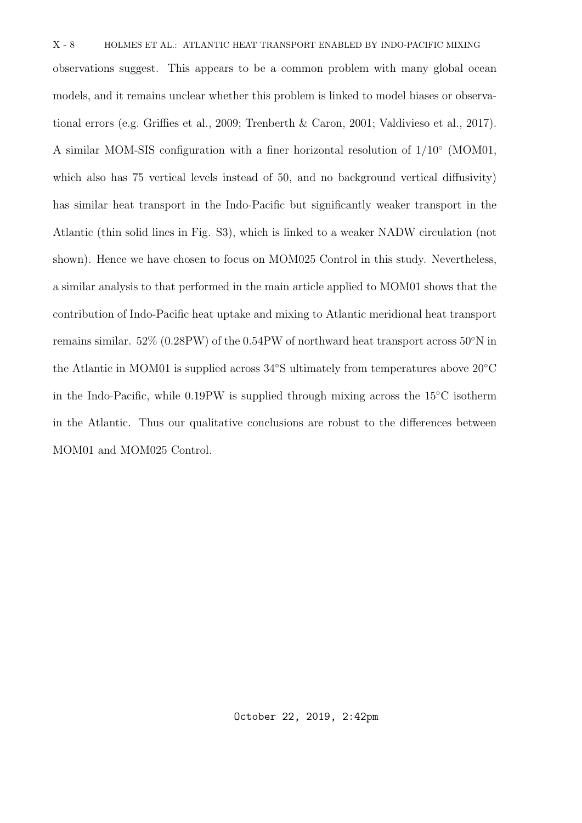observations suggest. This appears to be a common problem with many global ocean models, and it remains unclear whether this problem is linked to model biases or observational errors (e.g. Griffies et al., 2009; Trenberth & Caron, 2001; Valdivieso et al., 2017). A similar MOM-SIS configuration with a finer horizontal resolution of  $1/10^{\circ}$  (MOM01, which also has 75 vertical levels instead of 50, and no background vertical diffusivity) has similar heat transport in the Indo-Pacific but significantly weaker transport in the Atlantic (thin solid lines in Fig. S3), which is linked to a weaker NADW circulation (not shown). Hence we have chosen to focus on MOM025 Control in this study. Nevertheless, a similar analysis to that performed in the main article applied to MOM01 shows that the contribution of Indo-Pacific heat uptake and mixing to Atlantic meridional heat transport remains similar. 52% (0.28PW) of the 0.54PW of northward heat transport across 50◦N in the Atlantic in MOM01 is supplied across 34◦S ultimately from temperatures above 20◦C in the Indo-Pacific, while 0.19PW is supplied through mixing across the 15◦C isotherm in the Atlantic. Thus our qualitative conclusions are robust to the differences between MOM01 and MOM025 Control.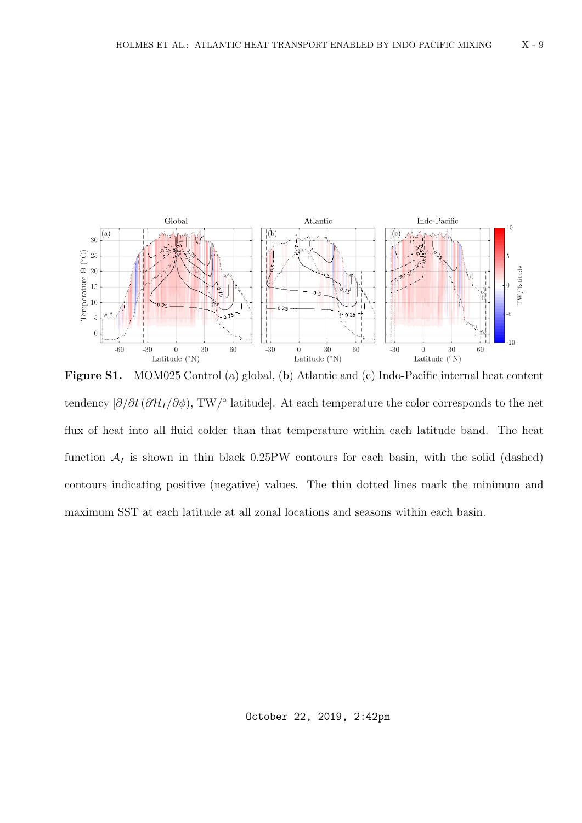

Figure S1. MOM025 Control (a) global, (b) Atlantic and (c) Indo-Pacific internal heat content tendency  $[\partial/\partial t (\partial \mathcal{H}_I/\partial \phi), TW$ <sup>o</sup> latitude]. At each temperature the color corresponds to the net flux of heat into all fluid colder than that temperature within each latitude band. The heat function  $A_I$  is shown in thin black 0.25PW contours for each basin, with the solid (dashed) contours indicating positive (negative) values. The thin dotted lines mark the minimum and maximum SST at each latitude at all zonal locations and seasons within each basin.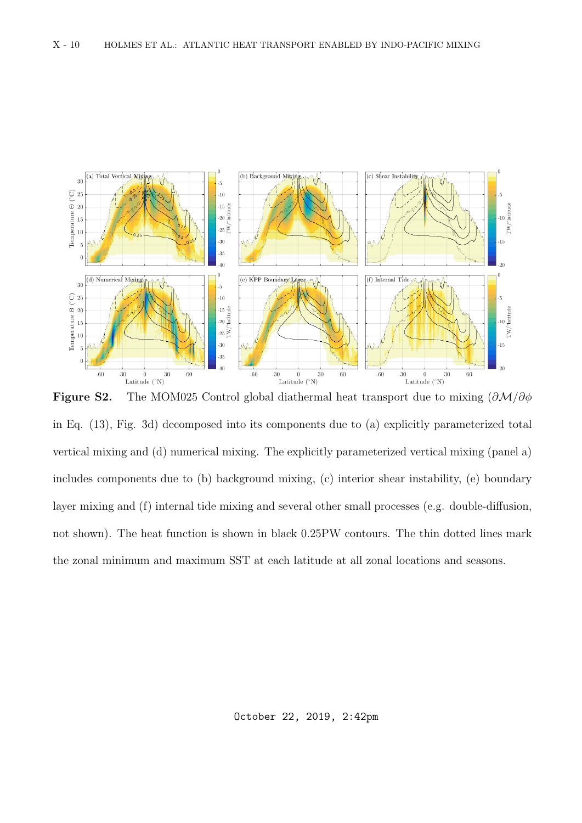

Figure S2. The MOM025 Control global diathermal heat transport due to mixing  $(\partial \mathcal{M}/\partial \phi)$ in Eq. (13), Fig. 3d) decomposed into its components due to (a) explicitly parameterized total vertical mixing and (d) numerical mixing. The explicitly parameterized vertical mixing (panel a) includes components due to (b) background mixing, (c) interior shear instability, (e) boundary layer mixing and (f) internal tide mixing and several other small processes (e.g. double-diffusion, not shown). The heat function is shown in black 0.25PW contours. The thin dotted lines mark the zonal minimum and maximum SST at each latitude at all zonal locations and seasons.